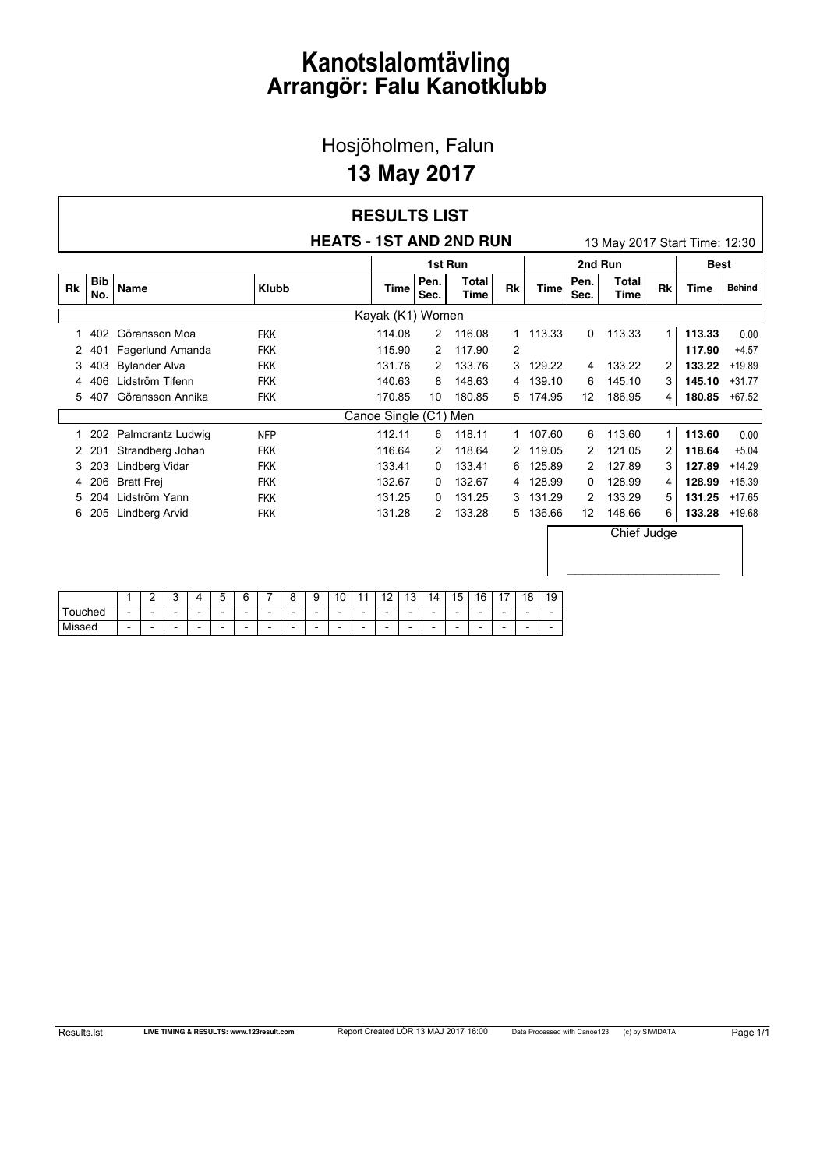#### Hosjöholmen, Falun

### **13 May 2017**

|           |                   |                      |              | <b>HEATS - 1ST AND 2ND RUN</b> |              |               |    |             |              | 13 May 2017 Start Time: 12:30 |                |             |               |
|-----------|-------------------|----------------------|--------------|--------------------------------|--------------|---------------|----|-------------|--------------|-------------------------------|----------------|-------------|---------------|
|           |                   |                      |              |                                |              | 1st Run       |    |             |              | 2nd Run                       |                | <b>Best</b> |               |
| <b>Rk</b> | <b>Bib</b><br>No. | <b>Name</b>          | <b>Klubb</b> | <b>Time</b>                    | Pen.<br>Sec. | Total<br>Time | Rk | <b>Time</b> | Pen.<br>Sec. | <b>Total</b><br>Time          | <b>Rk</b>      | <b>Time</b> | <b>Behind</b> |
|           |                   |                      |              | Kayak (K1) Women               |              |               |    |             |              |                               |                |             |               |
|           | 402               | Göransson Moa        | <b>FKK</b>   | 114.08                         | 2            | 116.08        | 1  | 113.33      | 0            | 113.33                        | 1              | 113.33      | 0.00          |
| 2         |                   | Fagerlund Amanda     | <b>FKK</b>   | 115.90                         | 2            | 117.90        | 2  |             |              |                               |                | 117.90      | $+4.57$       |
| 3         | 403               | <b>Bylander Alva</b> | <b>FKK</b>   | 131.76                         | 2            | 133.76        | 3  | 129.22      | 4            | 133.22                        | $\overline{2}$ | 133.22      | $+19.89$      |
| 4         | 406               | Lidström Tifenn      | <b>FKK</b>   | 140.63                         | 8            | 148.63        | 4  | 139.10      | 6            | 145.10                        | 3              | 145.10      | $+31.77$      |
| 5.        | 407               | Göransson Annika     | <b>FKK</b>   | 170.85                         | 10           | 180.85        |    | 5 174.95    | 12           | 186.95                        | 4              | 180.85      | $+67.52$      |
|           |                   |                      |              | Canoe Single (C1) Men          |              |               |    |             |              |                               |                |             |               |
| 1         | 202               | Palmcrantz Ludwig    | <b>NFP</b>   | 112.11                         | 6            | 118.11        |    | 1 107.60    | 6            | 113.60                        | 1              | 113.60      | 0.00          |
| 2         | 201               | Strandberg Johan     | <b>FKK</b>   | 116.64                         | 2            | 118.64        | 2  | 119.05      | 2            | 121.05                        | 2              | 118.64      | $+5.04$       |
| 3         | 203               | Lindberg Vidar       | <b>FKK</b>   | 133.41                         | 0            | 133.41        | 6  | 125.89      | 2            | 127.89                        | 3              | 127.89      | $+14.29$      |
| 4         | 206               | <b>Bratt Frej</b>    | <b>FKK</b>   | 132.67                         | 0            | 132.67        | 4  | 128.99      | 0            | 128.99                        | 4              | 128.99      | $+15.39$      |
| 5         | 204               | Lidström Yann        | <b>FKK</b>   | 131.25                         | 0            | 131.25        | 3  | 131.29      | 2            | 133.29                        | 5              | 131.25      | $+17.65$      |
| 6         | 205               | Lindberg Arvid       | <b>FKK</b>   | 131.28                         | 2            | 133.28        | 5  | 136.66      | 12           | 148.66                        | 6              | 133.28      | $+19.68$      |
|           |                   |                      |              |                                |              |               |    |             |              | Chief Judge                   |                |             |               |

|            |                          | -                        | ∽<br>∼                   |                          | -<br>∽<br>⊾              | ⌒<br>c<br>∼              | _                        | Ω<br>ο | с<br>o                   | $\overline{10}$<br>ں ،   | -4                       | $\sqrt{2}$               | 12<br>J                  | 4<br>$\overline{A}$      | 15<br>Ñ                  | 16<br>u                  | $\rightarrow$<br>. .     | 18                       | 19                       |
|------------|--------------------------|--------------------------|--------------------------|--------------------------|--------------------------|--------------------------|--------------------------|--------|--------------------------|--------------------------|--------------------------|--------------------------|--------------------------|--------------------------|--------------------------|--------------------------|--------------------------|--------------------------|--------------------------|
| -<br>iched | $\overline{\phantom{a}}$ | $\overline{\phantom{0}}$ | -                        | $\overline{\phantom{a}}$ | $\overline{\phantom{a}}$ | $\overline{\phantom{a}}$ | $\overline{\phantom{0}}$ | -      | $\overline{\phantom{0}}$ | $\overline{\phantom{0}}$ | $\overline{\phantom{0}}$ | $\overline{\phantom{0}}$ | $\overline{\phantom{0}}$ | $\overline{\phantom{0}}$ | $\overline{\phantom{a}}$ | $\overline{\phantom{0}}$ | $\overline{\phantom{0}}$ | $\overline{\phantom{0}}$ | $\overline{\phantom{0}}$ |
| Missed     | $\overline{\phantom{a}}$ | $\overline{\phantom{a}}$ | $\overline{\phantom{a}}$ | $\overline{\phantom{0}}$ | $\overline{\phantom{a}}$ | $\overline{\phantom{a}}$ | $\overline{\phantom{a}}$ | -      | $\overline{\phantom{0}}$ | $\overline{\phantom{0}}$ | $\overline{\phantom{0}}$ | $\overline{\phantom{0}}$ | $\overline{\phantom{0}}$ | $\overline{\phantom{0}}$ | $\overline{\phantom{a}}$ | $\overline{\phantom{0}}$ | $\overline{\phantom{0}}$ | $\overline{\phantom{a}}$ | $\overline{\phantom{0}}$ |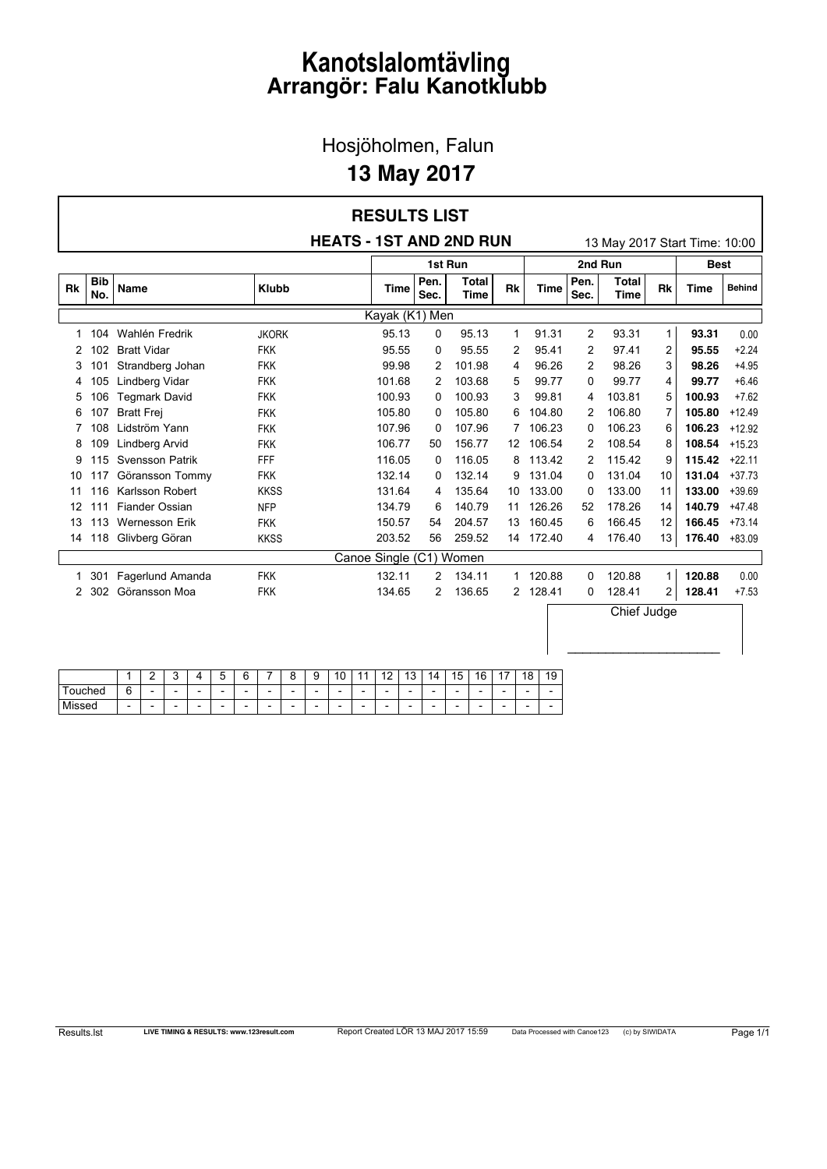Hosjöholmen, Falun

### **13 May 2017**

#### **HEATS - 1ST AND 2ND RUN** 13 May 2017 Start Time: 10:00 **RESULTS LIST 1st Run 2nd Run Best No. Name Klubb Time Pen. Sec. Total Time Rk Time Pen. Sec. Total Time Rk Time Behind**

| Rk | <b>Bib</b><br>No. | Name               | <b>Klubb</b> | Time              | Pen.<br>Sec. | <b>Total</b><br>Time | Rk           | Time   | Pen.<br>Sec. | Total<br>Time | Rk             | <b>Time</b> | <b>Behind</b> |
|----|-------------------|--------------------|--------------|-------------------|--------------|----------------------|--------------|--------|--------------|---------------|----------------|-------------|---------------|
|    |                   |                    |              | Kayak (K1) Men    |              |                      |              |        |              |               |                |             |               |
| 1  | 104               | Wahlén Fredrik     | <b>JKORK</b> | 95.13             | 0            | 95.13                | 1            | 91.31  | 2            | 93.31         | $\mathbf{1}$   | 93.31       | 0.00          |
| 2  | 102               | <b>Bratt Vidar</b> | <b>FKK</b>   | 95.55             | 0            | 95.55                | 2            | 95.41  | 2            | 97.41         | $\overline{c}$ | 95.55       | $+2.24$       |
| 3  | 101               | Strandberg Johan   | <b>FKK</b>   | 99.98             | 2            | 101.98               | 4            | 96.26  | 2            | 98.26         | 3              | 98.26       | $+4.95$       |
| 4  | 105               | Lindberg Vidar     | <b>FKK</b>   | 101.68            | 2            | 103.68               | 5            | 99.77  | 0            | 99.77         | 4              | 99.77       | $+6.46$       |
| 5  | 106               | Tegmark David      | <b>FKK</b>   | 100.93            | 0            | 100.93               | 3            | 99.81  | 4            | 103.81        | 5              | 100.93      | $+7.62$       |
| 6  | 107               | <b>Bratt Frei</b>  | <b>FKK</b>   | 105.80            | 0            | 105.80               | 6            | 104.80 | 2            | 106.80        | 7              | 105.80      | $+12.49$      |
|    | 108               | Lidström Yann      | <b>FKK</b>   | 107.96            | 0            | 107.96               | 7            | 106.23 | 0            | 106.23        | 6              | 106.23      | $+12.92$      |
| 8  | 109               | Lindberg Arvid     | <b>FKK</b>   | 106.77            | 50           | 156.77               | 12           | 106.54 | 2            | 108.54        | 8              | 108.54      | $+15.23$      |
| 9  | 115               | Svensson Patrik    | FFF          | 116.05            | 0            | 116.05               | 8            | 113.42 | 2            | 115.42        | 9              | 115.42      | $+22.11$      |
| 10 | 117               | Göransson Tommy    | <b>FKK</b>   | 132.14            | 0            | 132.14               | 9            | 131.04 | 0            | 131.04        | 10             | 131.04      | $+37.73$      |
| 11 | 116               | Karlsson Robert    | <b>KKSS</b>  | 131.64            | 4            | 135.64               | 10           | 133.00 | 0            | 133.00        | 11             | 133.00      | $+39.69$      |
| 12 | 111               | Fiander Ossian     | <b>NFP</b>   | 134.79            | 6            | 140.79               | 11           | 126.26 | 52           | 178.26        | 14             | 140.79      | $+47.48$      |
| 13 | 113               | Wernesson Erik     | <b>FKK</b>   | 150.57            | 54           | 204.57               | 13           | 160.45 | 6            | 166.45        | 12             | 166.45      | $+73.14$      |
| 14 | 118               | Glivberg Göran     | <b>KKSS</b>  | 203.52            | 56           | 259.52               | 14           | 172.40 | 4            | 176.40        | 13             | 176.40      | $+83.09$      |
|    |                   |                    |              | Canoe Single (C1) |              | Women                |              |        |              |               |                |             |               |
| 1  | 301               | Fagerlund Amanda   | <b>FKK</b>   | 132.11            | 2            | 134.11               | $\mathbf{1}$ | 120.88 | 0            | 120.88        | 1.             | 120.88      | 0.00          |
| 2  | 302               | Göransson Moa      | <b>FKK</b>   | 134.65            | 2            | 136.65               | 2            | 128.41 | 0            | 128.41        | 2              | 128.41      | $+7.53$       |
|    |                   |                    |              |                   |              |                      |              |        |              | Chief Judge   |                |             |               |

|              |                          | r<br>-                   | ∽                        |                          | ∽<br>◡                   | $\sim$<br>∽<br>∼         | __                       | ∽<br>⌒<br>u              | ◠<br>u                   | $\overline{A}$<br>v      | . .<br>и                 | $\sim$<br>. .            | 12<br>ں ا                | 14<br>и                  | 15                       | 16<br>◡                  | $\overline{A}$<br>. .    | 18                       | 19 |
|--------------|--------------------------|--------------------------|--------------------------|--------------------------|--------------------------|--------------------------|--------------------------|--------------------------|--------------------------|--------------------------|--------------------------|--------------------------|--------------------------|--------------------------|--------------------------|--------------------------|--------------------------|--------------------------|----|
| iched<br>וור | ⌒<br>∽<br>◡              | $\overline{\phantom{0}}$ | $\overline{\phantom{0}}$ | $\overline{\phantom{0}}$ | $\overline{\phantom{a}}$ | $\overline{\phantom{0}}$ | $\overline{\phantom{a}}$ | $\overline{\phantom{0}}$ | $\overline{\phantom{0}}$ | $\overline{\phantom{0}}$ | $\overline{\phantom{0}}$ | $\overline{\phantom{a}}$ | $\overline{\phantom{0}}$ | $\overline{\phantom{0}}$ | $\overline{\phantom{0}}$ | $\overline{\phantom{a}}$ | $\overline{\phantom{0}}$ | $\overline{\phantom{a}}$ | -  |
| .<br>טספו    | $\overline{\phantom{a}}$ | $\overline{\phantom{0}}$ | $\overline{\phantom{0}}$ | -                        | $\overline{\phantom{a}}$ | $\overline{\phantom{0}}$ | $\overline{\phantom{a}}$ | $\overline{\phantom{0}}$ | $\overline{\phantom{0}}$ | $\overline{\phantom{0}}$ | $\overline{\phantom{0}}$ | $\overline{\phantom{a}}$ | $\overline{\phantom{0}}$ | $\overline{\phantom{0}}$ | -                        | $\overline{\phantom{a}}$ | $\overline{\phantom{0}}$ | -                        | -  |

 $\_$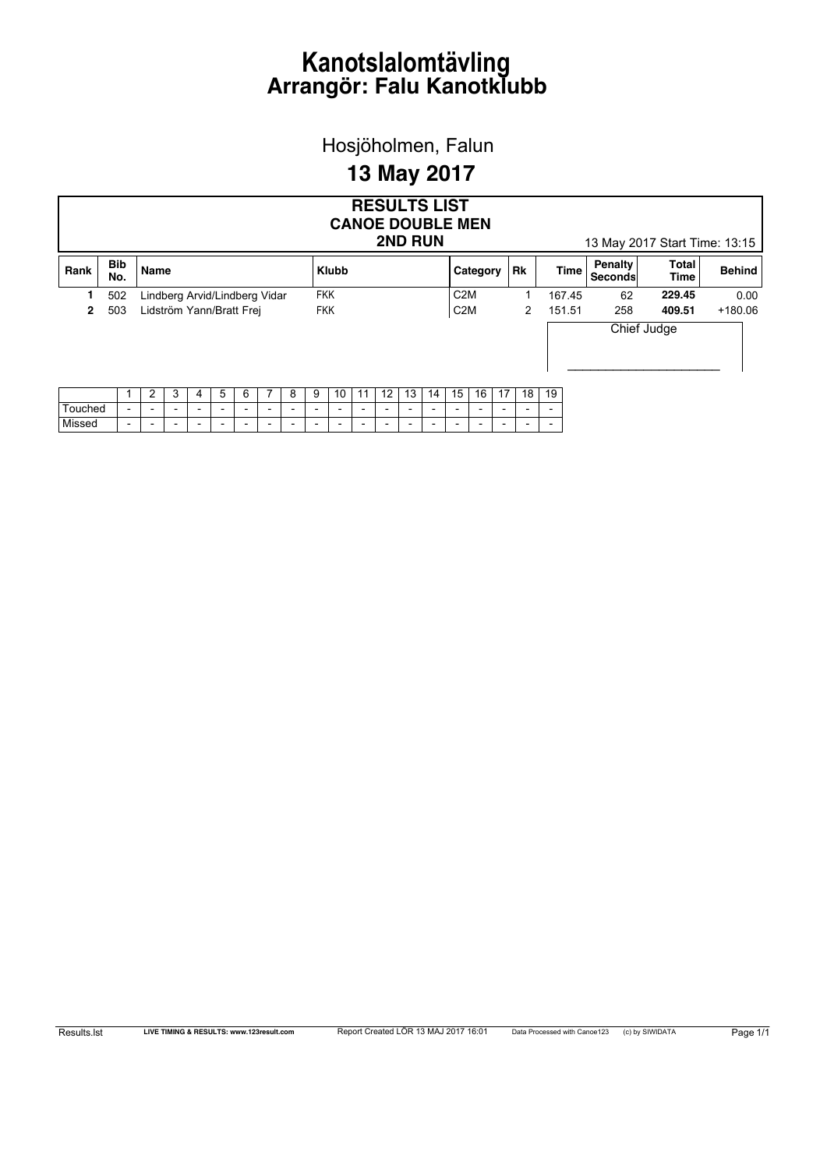Hosjöholmen, Falun

### **13 May 2017**

|              | <b>RESULTS LIST</b><br><b>CANOE DOUBLE MEN</b><br><b>2ND RUN</b><br>13 May 2017 Start Time: 13:15 |                          |                               |   |                          |                          |                          |                          |                          |                          |                          |                          |                          |                          |    |                          |                          |                          |                          |                          |                           |                      |               |
|--------------|---------------------------------------------------------------------------------------------------|--------------------------|-------------------------------|---|--------------------------|--------------------------|--------------------------|--------------------------|--------------------------|--------------------------|--------------------------|--------------------------|--------------------------|--------------------------|----|--------------------------|--------------------------|--------------------------|--------------------------|--------------------------|---------------------------|----------------------|---------------|
| Rank         | <b>Bib</b><br>No.                                                                                 |                          | Name                          |   |                          |                          |                          |                          |                          |                          | <b>Klubb</b>             |                          |                          |                          |    |                          | Category                 |                          | Rk                       | <b>Time</b>              | Penalty<br><b>Seconds</b> | Total<br><b>Time</b> | <b>Behind</b> |
| 1.           | 502                                                                                               |                          | Lindberg Arvid/Lindberg Vidar |   |                          |                          |                          |                          |                          | <b>FKK</b>               |                          |                          |                          |                          |    | C <sub>2</sub> M         |                          |                          |                          | 167.45                   | 62                        | 229.45               | 0.00          |
| $\mathbf{2}$ | 503                                                                                               |                          | Lidström Yann/Bratt Frei      |   |                          |                          |                          |                          |                          |                          | <b>FKK</b>               |                          |                          |                          |    | C <sub>2</sub> M         |                          |                          | 2                        | 151.51                   | 258                       | 409.51               | $+180.06$     |
|              |                                                                                                   |                          |                               |   |                          |                          |                          |                          |                          |                          |                          |                          |                          |                          |    |                          |                          |                          |                          |                          |                           | Chief Judge          |               |
|              |                                                                                                   |                          | 2                             | 3 | 4                        | 5                        | 6                        |                          | 8                        | 9                        | 10                       | 11                       | 12                       | 13                       | 14 | 15                       | 16                       | 17                       | 18                       | 19                       |                           |                      |               |
| Touched      |                                                                                                   | $\overline{\phantom{a}}$ | $\overline{\phantom{a}}$      |   | $\overline{\phantom{0}}$ | $\overline{\phantom{a}}$ | $\overline{\phantom{0}}$ | $\overline{\phantom{a}}$ | $\overline{\phantom{0}}$ | $\overline{\phantom{0}}$ | $\overline{\phantom{0}}$ | $\overline{\phantom{0}}$ | $\overline{\phantom{0}}$ | $\overline{\phantom{0}}$ | -  | $\overline{\phantom{a}}$ | $\overline{\phantom{0}}$ | $\overline{\phantom{0}}$ | $\overline{\phantom{0}}$ | $\overline{\phantom{0}}$ |                           |                      |               |
| Missed       |                                                                                                   | $\overline{\phantom{0}}$ | $\overline{\phantom{a}}$      |   | $\overline{\phantom{0}}$ | $\overline{\phantom{0}}$ | $\overline{\phantom{a}}$ | $\overline{\phantom{0}}$ | $\overline{\phantom{a}}$ | $\overline{\phantom{0}}$ | $\overline{\phantom{0}}$ | $\overline{\phantom{a}}$ | $\overline{\phantom{a}}$ | $\overline{\phantom{a}}$ | -  | $\overline{\phantom{a}}$ | $\overline{\phantom{a}}$ | $\overline{\phantom{a}}$ | $\overline{\phantom{0}}$ | $\overline{\phantom{a}}$ |                           |                      |               |